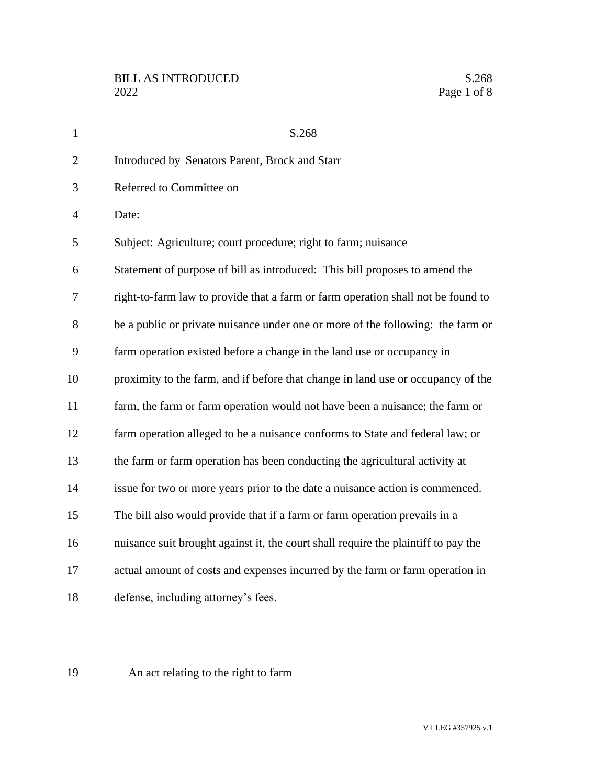| $\mathbf{1}$   | S.268                                                                              |
|----------------|------------------------------------------------------------------------------------|
| $\overline{2}$ | Introduced by Senators Parent, Brock and Starr                                     |
| 3              | Referred to Committee on                                                           |
| $\overline{4}$ | Date:                                                                              |
| 5              | Subject: Agriculture; court procedure; right to farm; nuisance                     |
| 6              | Statement of purpose of bill as introduced: This bill proposes to amend the        |
| 7              | right-to-farm law to provide that a farm or farm operation shall not be found to   |
| 8              | be a public or private nuisance under one or more of the following: the farm or    |
| 9              | farm operation existed before a change in the land use or occupancy in             |
| 10             | proximity to the farm, and if before that change in land use or occupancy of the   |
| 11             | farm, the farm or farm operation would not have been a nuisance; the farm or       |
| 12             | farm operation alleged to be a nuisance conforms to State and federal law; or      |
| 13             | the farm or farm operation has been conducting the agricultural activity at        |
| 14             | issue for two or more years prior to the date a nuisance action is commenced.      |
| 15             | The bill also would provide that if a farm or farm operation prevails in a         |
| 16             | nuisance suit brought against it, the court shall require the plaintiff to pay the |
| 17             | actual amount of costs and expenses incurred by the farm or farm operation in      |
| 18             | defense, including attorney's fees.                                                |

An act relating to the right to farm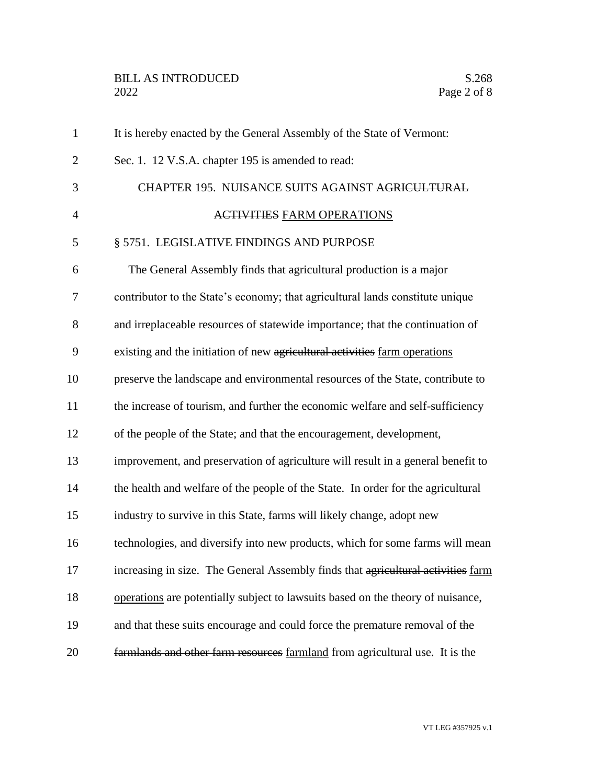| $\mathbf{1}$   | It is hereby enacted by the General Assembly of the State of Vermont:            |
|----------------|----------------------------------------------------------------------------------|
| $\overline{2}$ | Sec. 1. 12 V.S.A. chapter 195 is amended to read:                                |
| 3              | CHAPTER 195. NUISANCE SUITS AGAINST AGRICULTURAL                                 |
| $\overline{4}$ | <b>ACTIVITIES FARM OPERATIONS</b>                                                |
| 5              | § 5751. LEGISLATIVE FINDINGS AND PURPOSE                                         |
| 6              | The General Assembly finds that agricultural production is a major               |
| 7              | contributor to the State's economy; that agricultural lands constitute unique    |
| 8              | and irreplaceable resources of statewide importance; that the continuation of    |
| 9              | existing and the initiation of new agricultural activities farm operations       |
| 10             | preserve the landscape and environmental resources of the State, contribute to   |
| 11             | the increase of tourism, and further the economic welfare and self-sufficiency   |
| 12             | of the people of the State; and that the encouragement, development,             |
| 13             | improvement, and preservation of agriculture will result in a general benefit to |
| 14             | the health and welfare of the people of the State. In order for the agricultural |
| 15             | industry to survive in this State, farms will likely change, adopt new           |
| 16             | technologies, and diversify into new products, which for some farms will mean    |
| 17             | increasing in size. The General Assembly finds that agricultural activities farm |
| 18             | operations are potentially subject to lawsuits based on the theory of nuisance,  |
| 19             | and that these suits encourage and could force the premature removal of the      |
| 20             | farmlands and other farm resources farmland from agricultural use. It is the     |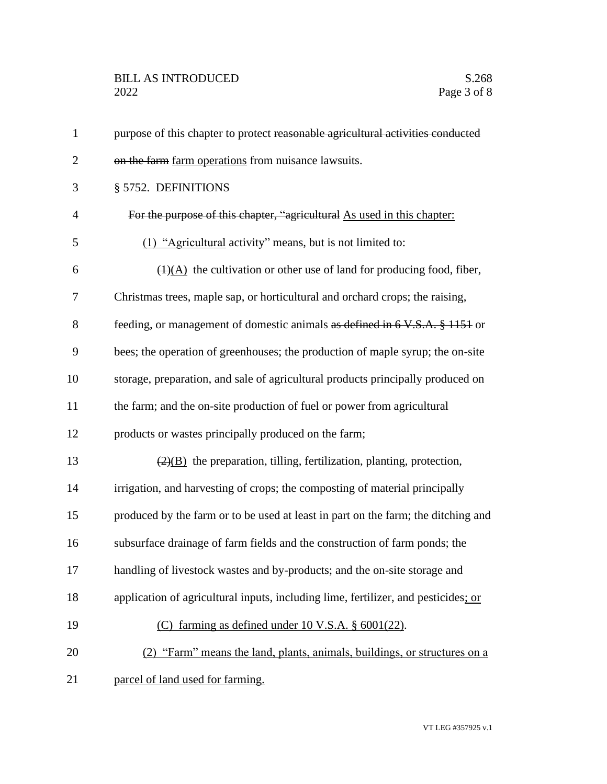| $\mathbf{1}$   | purpose of this chapter to protect reasonable agricultural activities conducted           |
|----------------|-------------------------------------------------------------------------------------------|
| $\mathbf{2}$   | on the farm farm operations from nuisance lawsuits.                                       |
| 3              | § 5752. DEFINITIONS                                                                       |
| $\overline{4}$ | For the purpose of this chapter, "agricultural As used in this chapter:                   |
| 5              | (1) "Agricultural activity" means, but is not limited to:                                 |
| 6              | $\overline{(1)(A)}$ the cultivation or other use of land for producing food, fiber,       |
| 7              | Christmas trees, maple sap, or horticultural and orchard crops; the raising,              |
| 8              | feeding, or management of domestic animals as defined in 6 V.S.A. § 1151 or               |
| 9              | bees; the operation of greenhouses; the production of maple syrup; the on-site            |
| 10             | storage, preparation, and sale of agricultural products principally produced on           |
| 11             | the farm; and the on-site production of fuel or power from agricultural                   |
| 12             | products or wastes principally produced on the farm;                                      |
| 13             | $\left(\frac{2}{B}\right)$ the preparation, tilling, fertilization, planting, protection, |
| 14             | irrigation, and harvesting of crops; the composting of material principally               |
| 15             | produced by the farm or to be used at least in part on the farm; the ditching and         |
| 16             | subsurface drainage of farm fields and the construction of farm ponds; the                |
| 17             | handling of livestock wastes and by-products; and the on-site storage and                 |
| 18             | application of agricultural inputs, including lime, fertilizer, and pesticides; or        |
| 19             | (C) farming as defined under 10 V.S.A. § 6001(22).                                        |
| 20             | (2) "Farm" means the land, plants, animals, buildings, or structures on a                 |
| 21             | parcel of land used for farming.                                                          |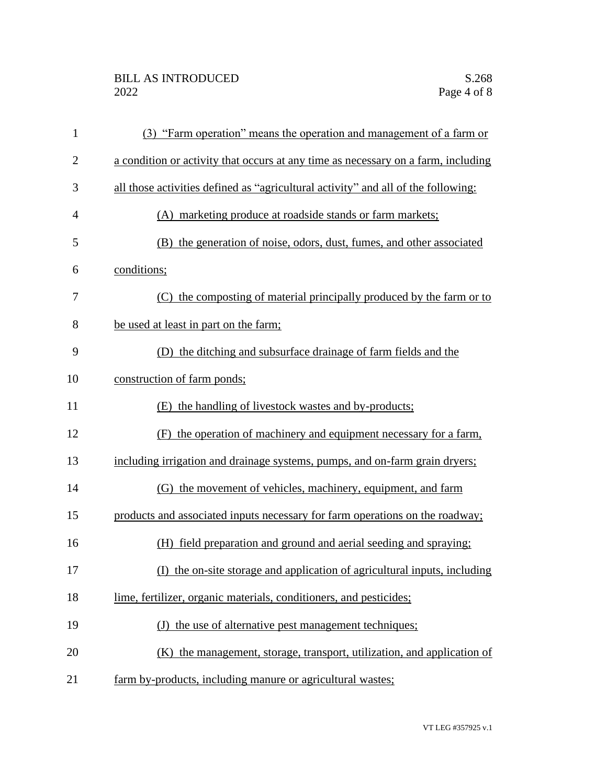## BILL AS INTRODUCED<br>2022 Page 4 of 8

| $\mathbf{1}$   | (3) "Farm operation" means the operation and management of a farm or              |
|----------------|-----------------------------------------------------------------------------------|
| $\overline{2}$ | a condition or activity that occurs at any time as necessary on a farm, including |
| 3              | all those activities defined as "agricultural activity" and all of the following: |
| $\overline{4}$ | (A) marketing produce at roadside stands or farm markets;                         |
| 5              | (B) the generation of noise, odors, dust, fumes, and other associated             |
| 6              | conditions;                                                                       |
| 7              | (C) the composting of material principally produced by the farm or to             |
| 8              | be used at least in part on the farm;                                             |
| 9              | (D) the ditching and subsurface drainage of farm fields and the                   |
| 10             | construction of farm ponds;                                                       |
| 11             | (E) the handling of livestock wastes and by-products;                             |
| 12             | (F) the operation of machinery and equipment necessary for a farm,                |
| 13             | including irrigation and drainage systems, pumps, and on-farm grain dryers;       |
| 14             | (G) the movement of vehicles, machinery, equipment, and farm                      |
| 15             | products and associated inputs necessary for farm operations on the roadway;      |
| 16             | (H) field preparation and ground and aerial seeding and spraying;                 |
| 17             | (I) the on-site storage and application of agricultural inputs, including         |
| 18             | lime, fertilizer, organic materials, conditioners, and pesticides;                |
| 19             | (J) the use of alternative pest management techniques;                            |
| 20             | (K) the management, storage, transport, utilization, and application of           |
| 21             | farm by-products, including manure or agricultural wastes;                        |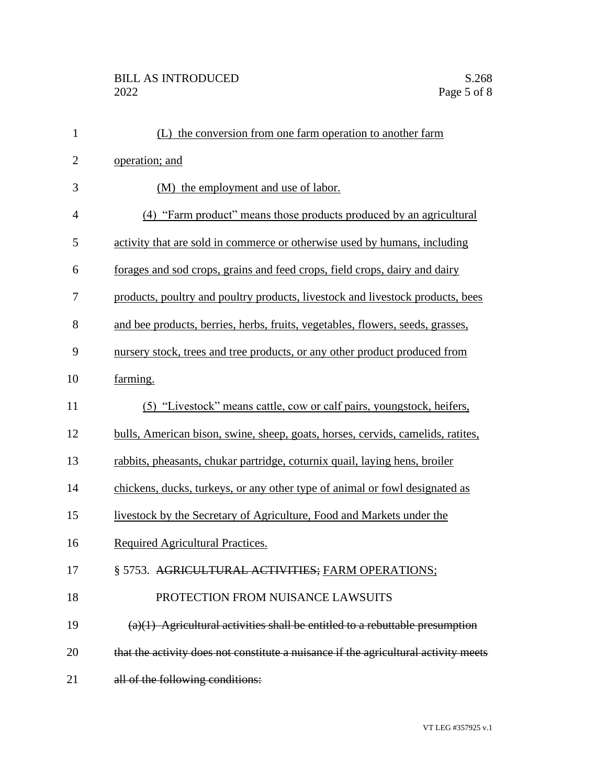| $\mathbf{1}$   | (L) the conversion from one farm operation to another farm                          |
|----------------|-------------------------------------------------------------------------------------|
| $\overline{c}$ | operation; and                                                                      |
| 3              | (M) the employment and use of labor.                                                |
| $\overline{4}$ | (4) "Farm product" means those products produced by an agricultural                 |
| 5              | activity that are sold in commerce or otherwise used by humans, including           |
| 6              | forages and sod crops, grains and feed crops, field crops, dairy and dairy          |
| 7              | products, poultry and poultry products, livestock and livestock products, bees      |
| 8              | and bee products, berries, herbs, fruits, vegetables, flowers, seeds, grasses,      |
| 9              | nursery stock, trees and tree products, or any other product produced from          |
| 10             | farming.                                                                            |
| 11             | (5) "Livestock" means cattle, cow or calf pairs, youngstock, heifers,               |
| 12             | bulls, American bison, swine, sheep, goats, horses, cervids, camelids, ratites,     |
| 13             | rabbits, pheasants, chukar partridge, coturnix quail, laying hens, broiler          |
| 14             | chickens, ducks, turkeys, or any other type of animal or fowl designated as         |
| 15             | livestock by the Secretary of Agriculture, Food and Markets under the               |
| 16             | Required Agricultural Practices.                                                    |
| 17             | § 5753. AGRICULTURAL ACTIVITIES; FARM OPERATIONS;                                   |
| 18             | PROTECTION FROM NUISANCE LAWSUITS                                                   |
| 19             | $(a)(1)$ Agricultural activities shall be entitled to a rebuttable presumption      |
| 20             | that the activity does not constitute a nuisance if the agricultural activity meets |
| 21             | all of the following conditions:                                                    |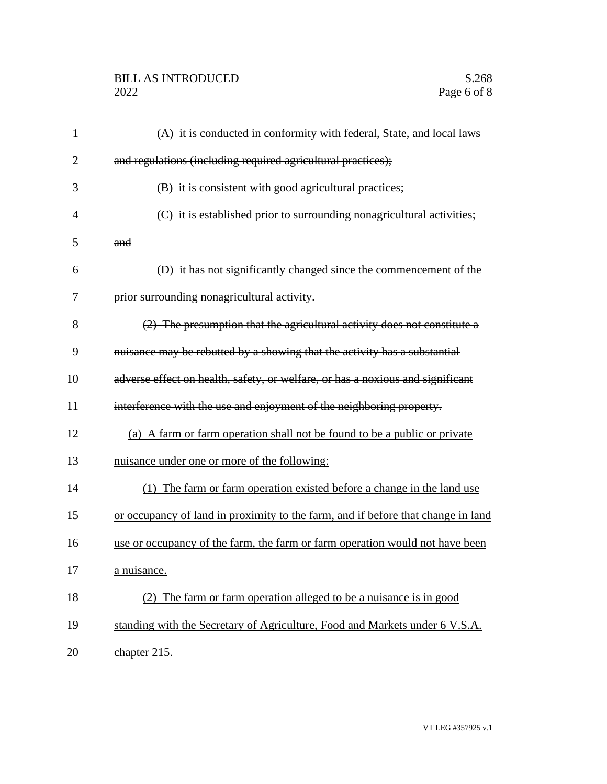## BILL AS INTRODUCED<br>2022 Page 6 of 8

| 1              | $(A)$ it is conducted in conformity with federal, State, and local laws          |
|----------------|----------------------------------------------------------------------------------|
| $\overline{2}$ | and regulations (including required agricultural practices);                     |
| 3              | (B) it is consistent with good agricultural practices;                           |
| 4              | (C) it is established prior to surrounding nonagricultural activities;           |
| 5              | and                                                                              |
| 6              | (D) it has not significantly changed since the commencement of the               |
| 7              | prior surrounding nonagricultural activity.                                      |
| 8              | (2) The presumption that the agricultural activity does not constitute a         |
| 9              | nuisance may be rebutted by a showing that the activity has a substantial        |
| 10             | adverse effect on health, safety, or welfare, or has a noxious and significant   |
| 11             | interference with the use and enjoyment of the neighboring property.             |
| 12             | (a) A farm or farm operation shall not be found to be a public or private        |
| 13             | nuisance under one or more of the following:                                     |
| 14             | (1) The farm or farm operation existed before a change in the land use           |
| 15             | or occupancy of land in proximity to the farm, and if before that change in land |
| 16             | use or occupancy of the farm, the farm or farm operation would not have been     |
| 17             | a nuisance.                                                                      |
| 18             | (2) The farm or farm operation alleged to be a nuisance is in good               |
| 19             | standing with the Secretary of Agriculture, Food and Markets under 6 V.S.A.      |
| 20             | chapter 215.                                                                     |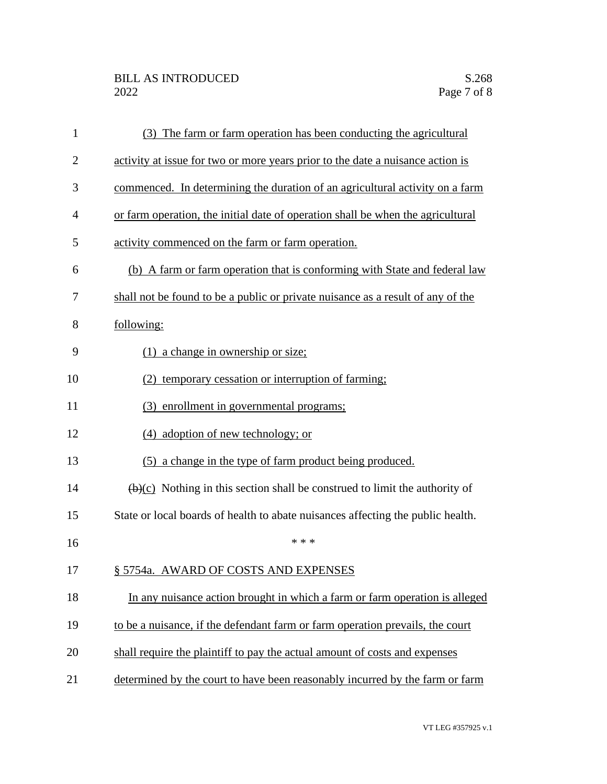| 1              | (3) The farm or farm operation has been conducting the agricultural                      |
|----------------|------------------------------------------------------------------------------------------|
| $\overline{2}$ | activity at issue for two or more years prior to the date a nuisance action is           |
| 3              | commenced. In determining the duration of an agricultural activity on a farm             |
| 4              | or farm operation, the initial date of operation shall be when the agricultural          |
| 5              | activity commenced on the farm or farm operation.                                        |
| 6              | (b) A farm or farm operation that is conforming with State and federal law               |
| 7              | shall not be found to be a public or private nuisance as a result of any of the          |
| 8              | following:                                                                               |
| 9              | $(1)$ a change in ownership or size;                                                     |
| 10             | (2) temporary cessation or interruption of farming;                                      |
| 11             | (3) enrollment in governmental programs;                                                 |
| 12             | (4) adoption of new technology; or                                                       |
| 13             | (5) a change in the type of farm product being produced.                                 |
| 14             | $\overline{(b)(c)}$ Nothing in this section shall be construed to limit the authority of |
| 15             | State or local boards of health to abate nuisances affecting the public health.          |
| 16             | * * *                                                                                    |
| 17             | § 5754a. AWARD OF COSTS AND EXPENSES                                                     |
| 18             | In any nuisance action brought in which a farm or farm operation is alleged              |
| 19             | to be a nuisance, if the defendant farm or farm operation prevails, the court            |
| 20             | shall require the plaintiff to pay the actual amount of costs and expenses               |
| 21             | determined by the court to have been reasonably incurred by the farm or farm             |